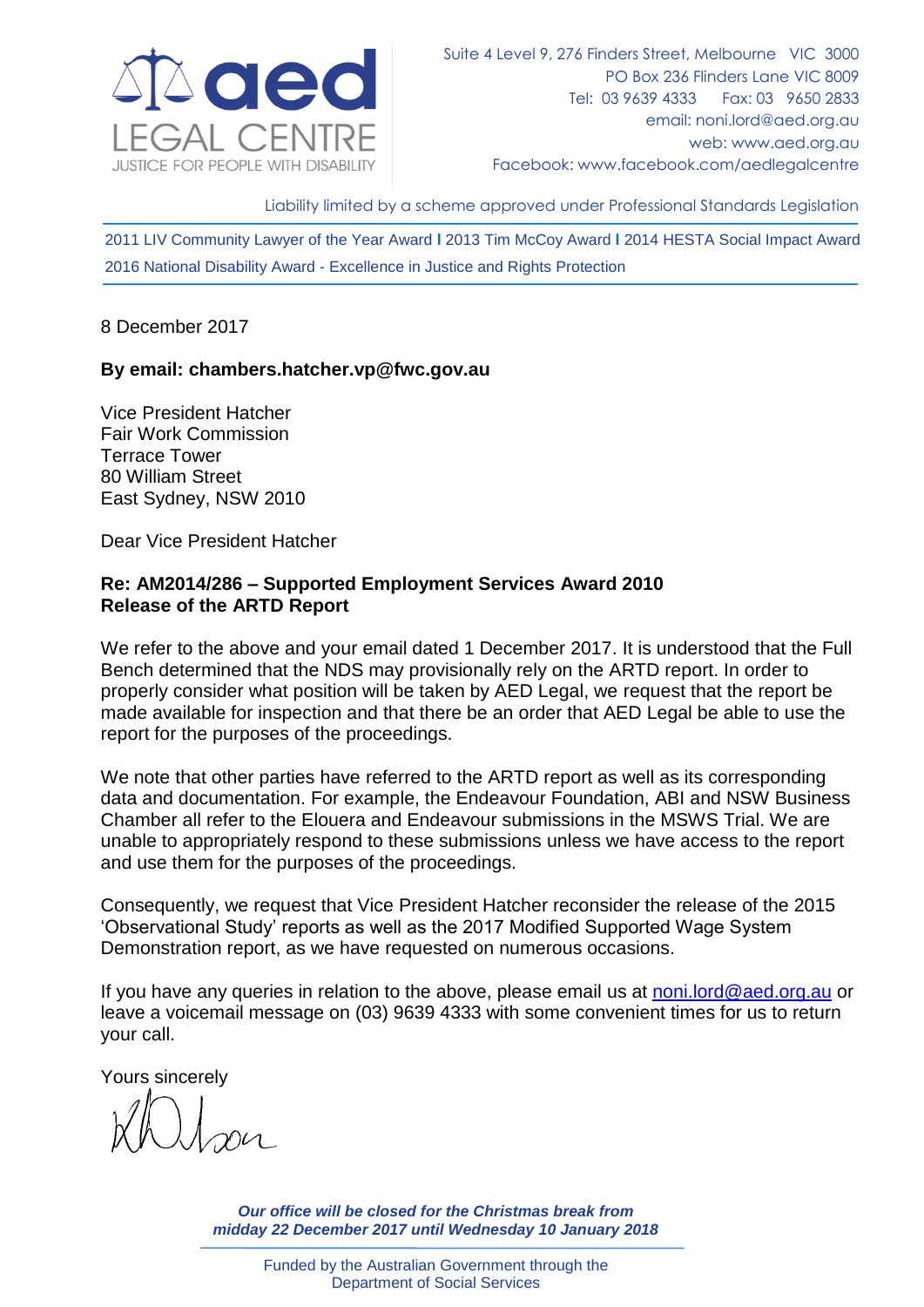

Liability limited by a scheme approved under Professional Standards Legislation

2011 LIV Community Lawyer of the Year Award **l** 2013 Tim McCoy Award **l** 2014 HESTA Social Impact Award 2016 National Disability Award - Excellence in Justice and Rights Protection

## 8 December 2017

## **By email: chambers.hatcher.vp@fwc.gov.au**

Vice President Hatcher Fair Work Commission Terrace Tower 80 William Street East Sydney, NSW 2010

Dear Vice President Hatcher

## **Re: AM2014/286 – Supported Employment Services Award 2010 Release of the ARTD Report**

We refer to the above and your email dated 1 December 2017. It is understood that the Full Bench determined that the NDS may provisionally rely on the ARTD report. In order to properly consider what position will be taken by AED Legal, we request that the report be made available for inspection and that there be an order that AED Legal be able to use the report for the purposes of the proceedings.

We note that other parties have referred to the ARTD report as well as its corresponding data and documentation. For example, the Endeavour Foundation, ABI and NSW Business Chamber all refer to the Elouera and Endeavour submissions in the MSWS Trial. We are unable to appropriately respond to these submissions unless we have access to the report and use them for the purposes of the proceedings.

Consequently, we request that Vice President Hatcher reconsider the release of the 2015 'Observational Study' reports as well as the 2017 Modified Supported Wage System Demonstration report, as we have requested on numerous occasions.

If you have any queries in relation to the above, please email us at [noni.lord@aed.org.au](mailto:noni.lord@aed.org.au) or leave a voicemail message on (03) 9639 4333 with some convenient times for us to return your call.

Yours sincerely

*Our office will be closed for the Christmas break from midday 22 December 2017 until Wednesday 10 January 2018*